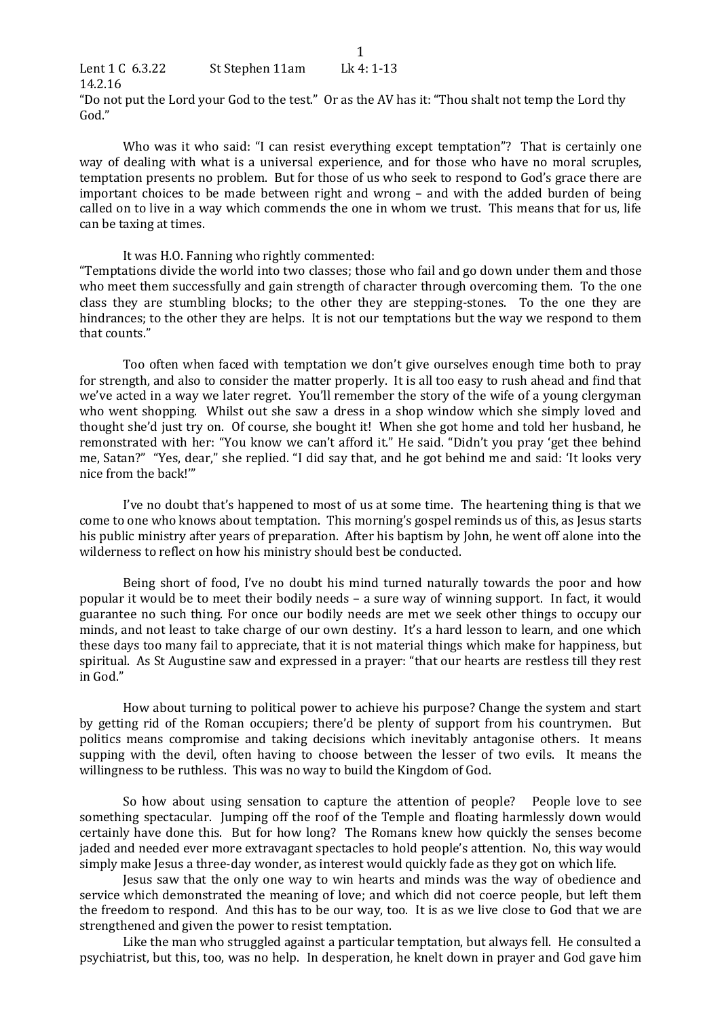| Lent 1 C 6.3.22 | St Stephen 11am | Lk 4: 1-13                                                                                         |
|-----------------|-----------------|----------------------------------------------------------------------------------------------------|
| 14.2.16         |                 |                                                                                                    |
|                 |                 | "Do not put the Lord your God to the test." Or as the AV has it: "Thou shalt not temp the Lord thy |
| God."           |                 |                                                                                                    |

Who was it who said: "I can resist everything except temptation"? That is certainly one way of dealing with what is a universal experience, and for those who have no moral scruples, temptation presents no problem. But for those of us who seek to respond to God's grace there are important choices to be made between right and wrong  $-$  and with the added burden of being called on to live in a way which commends the one in whom we trust. This means that for us, life can be taxing at times.

## It was H.O. Fanning who rightly commented:

"Temptations divide the world into two classes; those who fail and go down under them and those who meet them successfully and gain strength of character through overcoming them. To the one class they are stumbling blocks; to the other they are stepping-stones. To the one they are hindrances; to the other they are helps. It is not our temptations but the way we respond to them that counts."

Too often when faced with temptation we don't give ourselves enough time both to pray for strength, and also to consider the matter properly. It is all too easy to rush ahead and find that we've acted in a way we later regret. You'll remember the story of the wife of a young clergyman who went shopping. Whilst out she saw a dress in a shop window which she simply loved and thought she'd just try on. Of course, she bought it! When she got home and told her husband, he remonstrated with her: "You know we can't afford it." He said. "Didn't you pray 'get thee behind me, Satan?" "Yes, dear," she replied. "I did say that, and he got behind me and said: 'It looks very nice from the back!"

I've no doubt that's happened to most of us at some time. The heartening thing is that we come to one who knows about temptation. This morning's gospel reminds us of this, as Jesus starts his public ministry after years of preparation. After his baptism by John, he went off alone into the wilderness to reflect on how his ministry should best be conducted.

Being short of food, I've no doubt his mind turned naturally towards the poor and how popular it would be to meet their bodily needs – a sure way of winning support. In fact, it would guarantee no such thing. For once our bodily needs are met we seek other things to occupy our minds, and not least to take charge of our own destiny. It's a hard lesson to learn, and one which these days too many fail to appreciate, that it is not material things which make for happiness, but spiritual. As St Augustine saw and expressed in a prayer: "that our hearts are restless till they rest in God."

How about turning to political power to achieve his purpose? Change the system and start by getting rid of the Roman occupiers; there'd be plenty of support from his countrymen. But politics means compromise and taking decisions which inevitably antagonise others. It means supping with the devil, often having to choose between the lesser of two evils. It means the willingness to be ruthless. This was no way to build the Kingdom of God.

So how about using sensation to capture the attention of people? People love to see something spectacular. Jumping off the roof of the Temple and floating harmlessly down would certainly have done this. But for how long? The Romans knew how quickly the senses become jaded and needed ever more extravagant spectacles to hold people's attention. No, this way would simply make Jesus a three-day wonder, as interest would quickly fade as they got on which life.

Jesus saw that the only one way to win hearts and minds was the way of obedience and service which demonstrated the meaning of love; and which did not coerce people, but left them the freedom to respond. And this has to be our way, too. It is as we live close to God that we are strengthened and given the power to resist temptation.

Like the man who struggled against a particular temptation, but always fell. He consulted a psychiatrist, but this, too, was no help. In desperation, he knelt down in prayer and God gave him